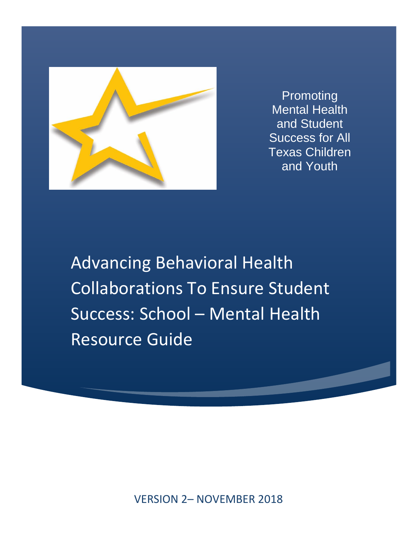

Promoting Mental Health and Student Success for All Texas Children and Youth

Advancing Behavioral Health Collaborations To Ensure Student Success: School – Mental Health Resource Guide

VERSION 2– NOVEMBER 2018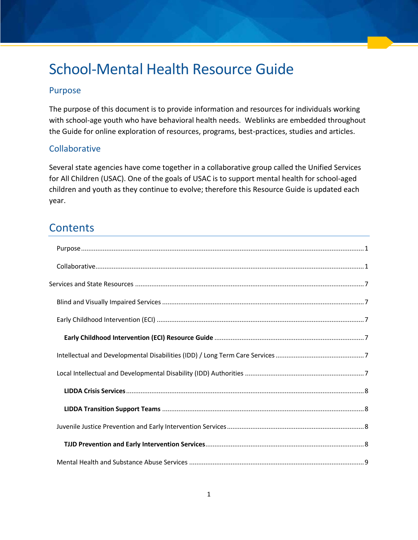# School-Mental Health Resource Guide

## <span id="page-1-0"></span>Purpose

The purpose of this document is to provide information and resources for individuals working with school-age youth who have behavioral health needs. Weblinks are embedded throughout the Guide for online exploration of resources, programs, best-practices, studies and articles.

## <span id="page-1-1"></span>**Collaborative**

Several state agencies have come together in a collaborative group called the Unified Services for All Children (USAC). One of the goals of USAC is to support mental health for school-aged children and youth as they continue to evolve; therefore this Resource Guide is updated each year.

## **Contents**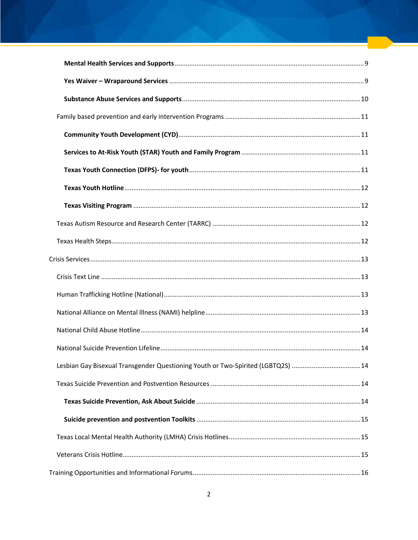| Lesbian Gay Bisexual Transgender Questioning Youth or Two-Spirited (LGBTQ2S) 14 |  |
|---------------------------------------------------------------------------------|--|
|                                                                                 |  |
|                                                                                 |  |
|                                                                                 |  |
|                                                                                 |  |
|                                                                                 |  |
|                                                                                 |  |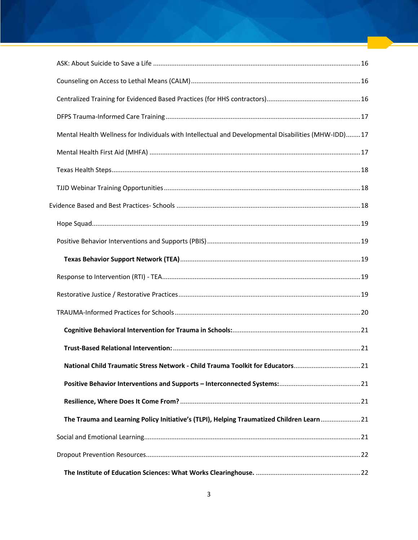| Mental Health Wellness for Individuals with Intellectual and Developmental Disabilities (MHW-IDD)17 |  |
|-----------------------------------------------------------------------------------------------------|--|
|                                                                                                     |  |
|                                                                                                     |  |
|                                                                                                     |  |
|                                                                                                     |  |
|                                                                                                     |  |
|                                                                                                     |  |
|                                                                                                     |  |
|                                                                                                     |  |
|                                                                                                     |  |
|                                                                                                     |  |
|                                                                                                     |  |
|                                                                                                     |  |
| National Child Traumatic Stress Network - Child Trauma Toolkit for Educators21                      |  |
|                                                                                                     |  |
|                                                                                                     |  |
| The Trauma and Learning Policy Initiative's (TLPI), Helping Traumatized Children Learn21            |  |
|                                                                                                     |  |
|                                                                                                     |  |
|                                                                                                     |  |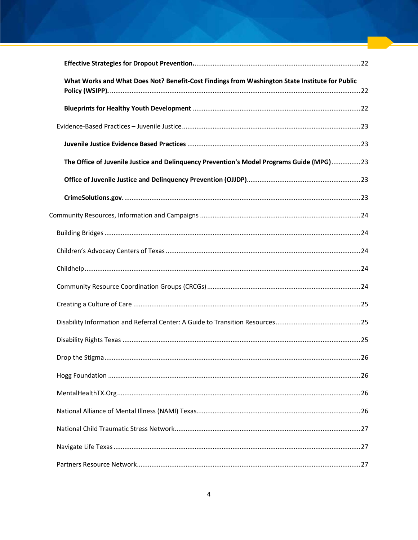| What Works and What Does Not? Benefit-Cost Findings from Washington State Institute for Public |  |
|------------------------------------------------------------------------------------------------|--|
|                                                                                                |  |
|                                                                                                |  |
|                                                                                                |  |
| The Office of Juvenile Justice and Delinquency Prevention's Model Programs Guide (MPG)23       |  |
|                                                                                                |  |
|                                                                                                |  |
|                                                                                                |  |
|                                                                                                |  |
|                                                                                                |  |
|                                                                                                |  |
|                                                                                                |  |
|                                                                                                |  |
|                                                                                                |  |
|                                                                                                |  |
|                                                                                                |  |
|                                                                                                |  |
|                                                                                                |  |
|                                                                                                |  |
|                                                                                                |  |
|                                                                                                |  |
|                                                                                                |  |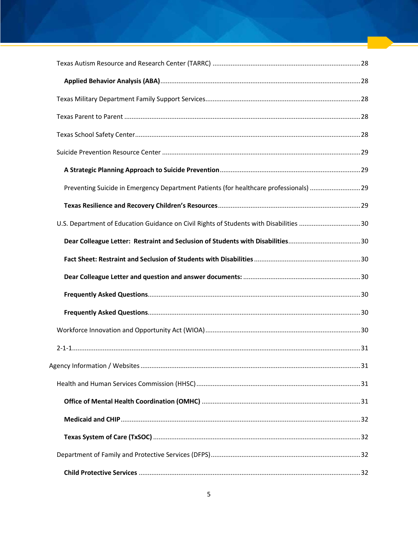| Preventing Suicide in Emergency Department Patients (for healthcare professionals) 29  |  |
|----------------------------------------------------------------------------------------|--|
|                                                                                        |  |
| U.S. Department of Education Guidance on Civil Rights of Students with Disabilities 30 |  |
|                                                                                        |  |
|                                                                                        |  |
|                                                                                        |  |
|                                                                                        |  |
|                                                                                        |  |
|                                                                                        |  |
|                                                                                        |  |
|                                                                                        |  |
|                                                                                        |  |
|                                                                                        |  |
|                                                                                        |  |
|                                                                                        |  |
|                                                                                        |  |
|                                                                                        |  |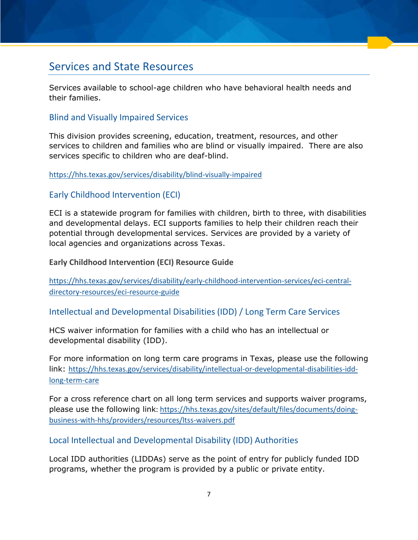## <span id="page-7-0"></span>Services and State Resources

Services available to school-age children who have behavioral health needs and their families.

## <span id="page-7-1"></span>Blind and Visually Impaired Services

This division provides screening, education, treatment, resources, and other services to children and families who are blind or visually impaired. There are also services specific to children who are deaf-blind.

#### <span id="page-7-2"></span><https://hhs.texas.gov/services/disability/blind-visually-impaired>

### Early Childhood Intervention (ECI)

ECI is a statewide program for families with children, birth to three, with disabilities and developmental delays. ECI supports families to help their children reach their potential through developmental services. Services are provided by a variety of local agencies and organizations across Texas.

<span id="page-7-3"></span>**Early Childhood Intervention (ECI) Resource Guide** 

[https://hhs.texas.gov/services/disability/early-childhood-intervention-services/eci-central](https://hhs.texas.gov/services/disability/early-childhood-intervention-services/eci-central-directory-resources/eci-resource-guide)[directory-resources/eci-resource-guide](https://hhs.texas.gov/services/disability/early-childhood-intervention-services/eci-central-directory-resources/eci-resource-guide) 

#### <span id="page-7-4"></span>Intellectual and Developmental Disabilities (IDD) / Long Term Care Services

HCS waiver information for families with a child who has an intellectual or developmental disability (IDD).

For more information on long term care programs in Texas, please use the following link: [https://hhs.texas.gov/services/disability/intellectual-or-developmental-disabilities-idd](https://hhs.texas.gov/services/disability/intellectual-or-developmental-disabilities-idd-long-term-care)[long-term-care](https://hhs.texas.gov/services/disability/intellectual-or-developmental-disabilities-idd-long-term-care)

For a cross reference chart on all long term services and supports waiver programs, please use the following link: [https://hhs.texas.gov/sites/default/files/documents/doing](https://hhs.texas.gov/sites/default/files/documents/doing-business-with-hhs/providers/resources/ltss-waivers.pdf)[business-with-hhs/providers/resources/ltss-waivers.pdf](https://hhs.texas.gov/sites/default/files/documents/doing-business-with-hhs/providers/resources/ltss-waivers.pdf) 

#### <span id="page-7-5"></span>Local Intellectual and Developmental Disability (IDD) Authorities

Local IDD authorities (LIDDAs) serve as the point of entry for publicly funded IDD programs, whether the program is provided by a public or private entity.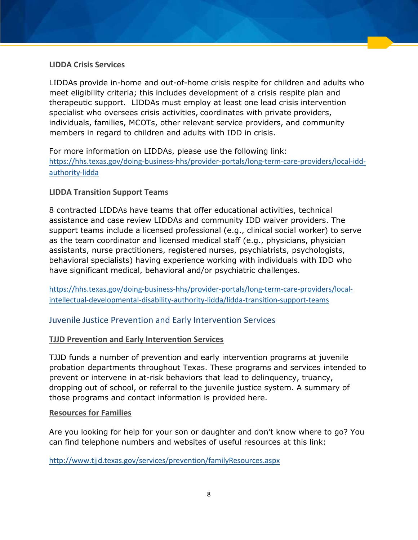#### <span id="page-8-0"></span>**LIDDA Crisis Services**

LIDDAs provide in-home and out-of-home crisis respite for children and adults who meet eligibility criteria; this includes development of a crisis respite plan and therapeutic support. LIDDAs must employ at least one lead crisis intervention specialist who oversees crisis activities, coordinates with private providers, individuals, families, MCOTs, other relevant service providers, and community members in regard to children and adults with IDD in crisis.

For more information on LIDDAs, please use the following link: [https://hhs.texas.gov/doing-business-hhs/provider-portals/long-term-care-providers/local-idd](https://hhs.texas.gov/doing-business-hhs/provider-portals/long-term-care-providers/local-idd-authority-lidda)[authority-lidda](https://hhs.texas.gov/doing-business-hhs/provider-portals/long-term-care-providers/local-idd-authority-lidda)

#### <span id="page-8-1"></span>**LIDDA Transition Support Teams**

8 contracted LIDDAs have teams that offer educational activities, technical assistance and case review LIDDAs and community IDD waiver providers. The support teams include a licensed professional (e.g., clinical social worker) to serve as the team coordinator and licensed medical staff (e.g., physicians, physician assistants, nurse practitioners, registered nurses, psychiatrists, psychologists, behavioral specialists) having experience working with individuals with IDD who have significant medical, behavioral and/or psychiatric challenges.

[https://hhs.texas.gov/doing-business-hhs/provider-portals/long-term-care-providers/local](https://hhs.texas.gov/doing-business-hhs/provider-portals/long-term-care-providers/local-intellectual-developmental-disability-authority-lidda/lidda-transition-support-teams)[intellectual-developmental-disability-authority-lidda/lidda-transition-support-teams](https://hhs.texas.gov/doing-business-hhs/provider-portals/long-term-care-providers/local-intellectual-developmental-disability-authority-lidda/lidda-transition-support-teams) 

#### <span id="page-8-2"></span>Juvenile Justice Prevention and Early Intervention Services

#### <span id="page-8-3"></span>**[TJJD Prevention and Early Intervention Services](http://www.tjjd.texas.gov/services/prevention/preventionindex.aspx)**

TJJD funds a number of prevention and early intervention programs at juvenile probation departments throughout Texas. These programs and services intended to prevent or intervene in at-risk behaviors that lead to delinquency, truancy, dropping out of school, or referral to the juvenile justice system. A summary of those programs and contact information is provided here.

#### **[Resources for Families](http://www.tjjd.texas.gov/services/prevention/familyResources.aspx)**

Are you looking for help for your son or daughter and don't know where to go? You can find telephone numbers and websites of useful resources at this link:

<http://www.tjjd.texas.gov/services/prevention/familyResources.aspx>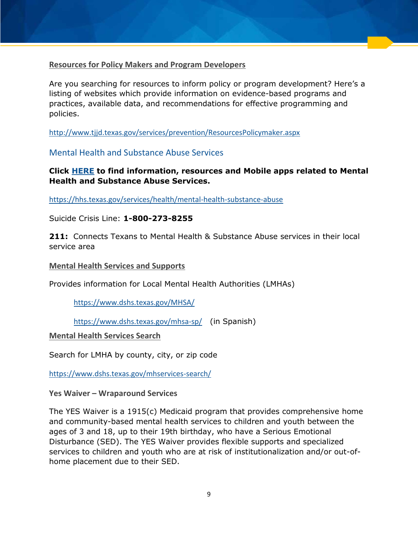#### **[Resources for Policy Makers and Program Developers](http://www.tjjd.texas.gov/services/prevention/ResourcesPolicymaker.aspx)**

Are you searching for resources to inform policy or program development? Here's a listing of websites which provide information on evidence-based programs and practices, available data, and recommendations for effective programming and policies.

<http://www.tjjd.texas.gov/services/prevention/ResourcesPolicymaker.aspx>

<span id="page-9-0"></span>Mental Health and Substance Abuse Services

#### **Click [HERE](https://hhs.texas.gov/services/health/mental-health-substance-abuse) to find information, resources and Mobile apps related to Mental Health and Substance Abuse Services.**

<https://hhs.texas.gov/services/health/mental-health-substance-abuse>

Suicide Crisis Line: **1-800-273-8255**

**211:** Connects Texans to Mental Health & Substance Abuse services in their local service area

#### <span id="page-9-1"></span>**[Mental Health Services and Supports](https://www.dshs.texas.gov/MHSA/)**

Provides information for Local Mental Health Authorities (LMHAs)

<https://www.dshs.texas.gov/MHSA/>

<https://www.dshs.texas.gov/mhsa-sp/> (in Spanish)

**[Mental Health Services Search](https://www.dshs.texas.gov/mhservices-search/)**

Search for LMHA by county, city, or zip code

<span id="page-9-2"></span><https://www.dshs.texas.gov/mhservices-search/>

**Yes Waiver – Wraparound Services** 

The YES Waiver is a 1915(c) Medicaid program that provides comprehensive home and community-based mental health services to children and youth between the ages of 3 and 18, up to their 19th birthday, who have a Serious Emotional Disturbance (SED). The YES Waiver provides flexible supports and specialized services to children and youth who are at risk of institutionalization and/or out-ofhome placement due to their SED.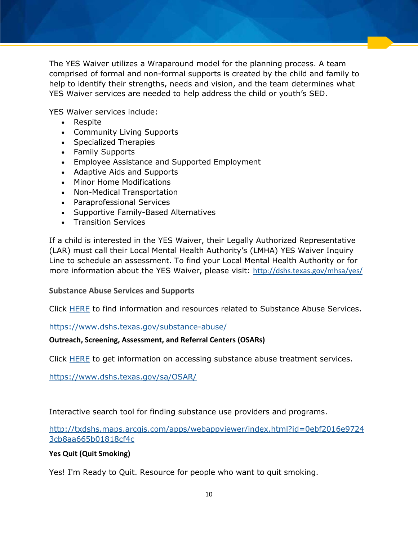The YES Waiver utilizes a Wraparound model for the planning process. A team comprised of formal and non-formal supports is created by the child and family to help to identify their strengths, needs and vision, and the team determines what YES Waiver services are needed to help address the child or youth's SED.

YES Waiver services include:

- Respite
- Community Living Supports
- Specialized Therapies
- Family Supports
- **Employee Assistance and Supported Employment**
- Adaptive Aids and Supports
- Minor Home Modifications
- Non-Medical Transportation
- Paraprofessional Services
- Supportive Family-Based Alternatives
- Transition Services

If a child is interested in the YES Waiver, their Legally Authorized Representative (LAR) must call their Local Mental Health Authority's (LMHA) YES Waiver Inquiry Line to schedule an assessment. To find your Local Mental Health Authority or for more information about the YES Waiver, please visit: <http://dshs.texas.gov/mhsa/yes/>

#### <span id="page-10-0"></span>**Substance Abuse Services and Supports**

Click [HERE](https://www.dshs.texas.gov/substance-abuse/) to find information and resources related to Substance Abuse Services.

#### <https://www.dshs.texas.gov/substance-abuse/>

#### **Outreach, Screening, Assessment, and Referral Centers (OSARs)**

Click [HERE](https://www.dshs.texas.gov/sa/OSAR/) to get information on accessing substance abuse treatment services.

<https://www.dshs.texas.gov/sa/OSAR/>

Interactive search tool for finding substance use providers and programs.

[http://txdshs.maps.arcgis.com/apps/webappviewer/index.html?id=0ebf2016e9724](http://txdshs.maps.arcgis.com/apps/webappviewer/index.html?id=0ebf2016e97243cb8aa665b01818cf4c) [3cb8aa665b01818cf4c](http://txdshs.maps.arcgis.com/apps/webappviewer/index.html?id=0ebf2016e97243cb8aa665b01818cf4c)

#### **Yes Quit (Quit Smoking)**

Yes! I'm Ready to Quit. Resource for people who want to quit smoking.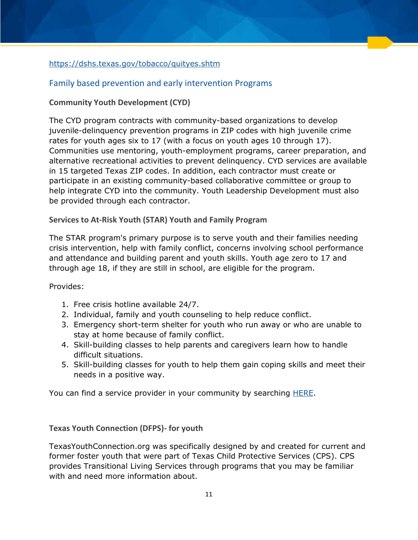### <https://dshs.texas.gov/tobacco/quityes.shtm>

## <span id="page-11-0"></span>Family based prevention and early intervention Programs

## <span id="page-11-1"></span>**Community Youth Development (CYD)**

The CYD program contracts with community-based organizations to develop juvenile-delinquency prevention programs in ZIP codes with high juvenile crime rates for youth ages six to 17 (with a focus on youth ages 10 through 17). Communities use mentoring, youth-employment programs, career preparation, and alternative recreational activities to prevent delinquency. CYD services are available in 15 targeted Texas ZIP codes. In addition, each contractor must create or participate in an existing community-based collaborative committee or group to help integrate CYD into the community. Youth Leadership Development must also be provided through each contractor.

#### <span id="page-11-2"></span>**Services to At-Risk Youth (STAR) Youth and Family Program**

The STAR program's primary purpose is to serve youth and their families needing crisis intervention, help with family conflict, concerns involving school performance and attendance and building parent and youth skills. Youth age zero to 17 and through age 18, if they are still in school, are eligible for the program.

#### Provides:

- 1. Free crisis hotline available 24/7.
- 2. Individual, family and youth counseling to help reduce conflict.
- 3. Emergency short-term shelter for youth who run away or who are unable to stay at home because of family conflict.
- 4. Skill-building classes to help parents and caregivers learn how to handle difficult situations.
- 5. Skill-building classes for youth to help them gain coping skills and meet their needs in a positive way.

You can find a service provider in your community by searching **HERE**.

<span id="page-11-3"></span>**Texas Youth Connection (DFPS)- for youth** 

TexasYouthConnection.org was specifically designed by and created for current and former foster youth that were part of Texas Child Protective Services (CPS). CPS provides Transitional Living Services through programs that you may be familiar with and need more information about.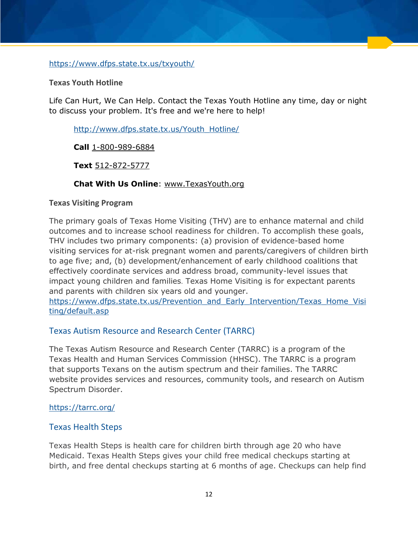<https://www.dfps.state.tx.us/txyouth/>

#### <span id="page-12-0"></span>**Texas Youth Hotline**

Life Can Hurt, We Can Help. Contact the Texas Youth Hotline any time, day or night to discuss your problem. It's free and we're here to help!

[http://www.dfps.state.tx.us/Youth\\_Hotline/](http://www.dfps.state.tx.us/Youth_Hotline/)

**Call** [1-800-989-6884](tel:+18009896884)

**Text** [512-872-5777](sms:5128725777)

#### **[Chat With Us Online](http://www.dfps.state.tx.us/Youth_Hotline/Youth_Chat.asp)**: [www.TexasYouth.org](http://www.texasyouth.org/)

#### <span id="page-12-1"></span>**Texas Visiting Program**

The primary goals of Texas Home Visiting (THV) are to enhance maternal and child outcomes and to increase school readiness for children. To accomplish these goals, THV includes two primary components: (a) provision of evidence-based home visiting services for at-risk pregnant women and parents/caregivers of children birth to age five; and, (b) development/enhancement of early childhood coalitions that effectively coordinate services and address broad, community-level issues that impact young children and families. Texas Home Visiting is for expectant parents and parents with children six years old and younger.

[https://www.dfps.state.tx.us/Prevention\\_and\\_Early\\_Intervention/Texas\\_Home\\_Visi](https://www.dfps.state.tx.us/Prevention_and_Early_Intervention/Texas_Home_Visiting/default.asp) [ting/default.asp](https://www.dfps.state.tx.us/Prevention_and_Early_Intervention/Texas_Home_Visiting/default.asp)

#### <span id="page-12-2"></span>Texas Autism Resource and Research Center (TARRC)

The Texas Autism Resource and Research Center (TARRC) is a program of the Texas Health and Human Services Commission (HHSC). The TARRC is a program that supports Texans on the autism spectrum and their families. The TARRC website provides services and resources, community tools, and research on Autism Spectrum Disorder.

#### <span id="page-12-3"></span><https://tarrc.org/>

#### Texas Health Steps

Texas Health Steps is health care for children birth through age 20 who have Medicaid. Texas Health Steps gives your child free medical checkups starting at birth, and free dental checkups starting at 6 months of age. Checkups can help find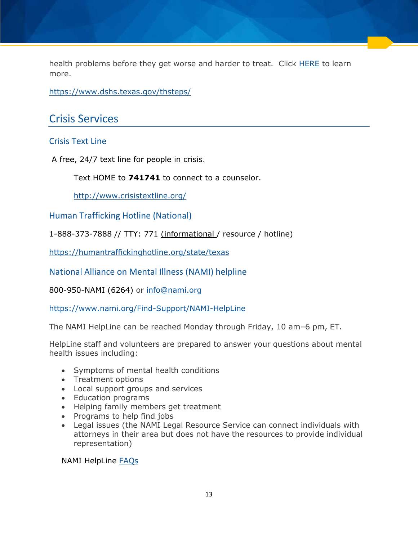health problems before they get worse and harder to treat. Click [HERE](https://www.dshs.texas.gov/thsteps/) to learn more.

<https://www.dshs.texas.gov/thsteps/>

## <span id="page-13-0"></span>Crisis Services

### <span id="page-13-1"></span>Crisis Text Line

A free, 24/7 text line for people in crisis.

Text HOME to **741741** to connect to a counselor.

<http://www.crisistextline.org/>

<span id="page-13-2"></span>Human Trafficking Hotline (National)

1-888-373-7888 // TTY: 771 (informational / resource / hotline)

<https://humantraffickinghotline.org/state/texas>

<span id="page-13-3"></span>National Alliance on Mental Illness [\(NAMI\) helpline](http://www.nami.org/)

800-950-NAMI (6264) or [info@nami.org](mailto:info@nami.org?subject=NAMI%20HelpLine%20Question)

<https://www.nami.org/Find-Support/NAMI-HelpLine>

The NAMI HelpLine can be reached Monday through Friday, 10 am–6 pm, ET.

HelpLine staff and volunteers are prepared to answer your questions about mental health issues including:

- Symptoms of mental health conditions
- Treatment options
- Local support groups and services
- Education programs
- Helping family members get treatment
- Programs to help find jobs
- Legal issues (the NAMI Legal Resource Service can connect individuals with attorneys in their area but does not have the resources to provide individual representation)

NAMI HelpLine [FAQs](https://www.nami.org/Find-Support/NAMI-HelpLine/NAMI-HelpLine-FAQs)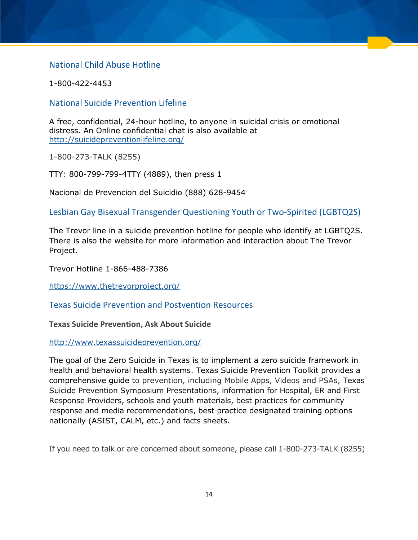## <span id="page-14-0"></span>National Child Abuse Hotline

1-800-422-4453

#### <span id="page-14-1"></span>National Suicide Prevention Lifeline

A free, confidential, 24-hour hotline, to anyone in suicidal crisis or emotional distress. An Online confidential chat is also available at <http://suicidepreventionlifeline.org/>

1-800-273-TALK (8255)

TTY: 800-799-799-4TTY (4889), then press 1

Nacional de Prevencion del Suicidio (888) 628-9454

<span id="page-14-2"></span>Lesbian Gay Bisexual Transgender Questioning Youth or Two-Spirited (LGBTQ2S)

The Trevor line in a suicide prevention hotline for people who identify at LGBTQ2S. There is also the website for more information and interaction about The Trevor Project.

Trevor Hotline 1-866-488-7386

[https://www.thetrevorproject.org/](https://www.thetrevorproject.org/get-help-now/#sm.00009j955w1ruczisr12p8414uuxw)

<span id="page-14-3"></span>Texas Suicide Prevention and Postvention Resources

#### <span id="page-14-4"></span>**Texas Suicide Prevention, Ask About Suicide**

#### <http://www.texassuicideprevention.org/>

The goal of the Zero Suicide in Texas is to implement a zero suicide framework in health and behavioral health systems. Texas Suicide Prevention Toolkit provides a comprehensive guide to prevention, including Mobile Apps, Videos and PSAs, Texas Suicide Prevention Symposium Presentations, information for Hospital, ER and First Response Providers, schools and youth materials, best practices for community response and media recommendations, best practice designated training options nationally (ASIST, CALM, etc.) and facts sheets.

If you need to talk or are concerned about someone, please call 1-800-273-TALK (8255)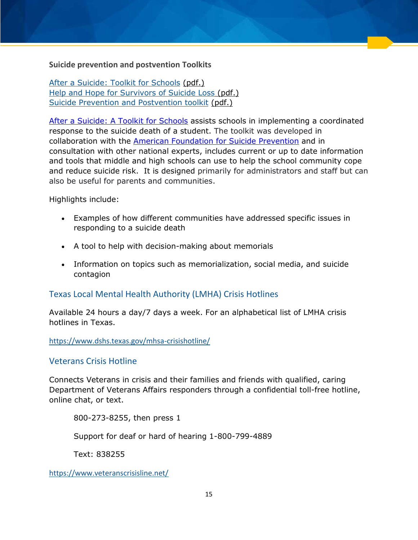#### <span id="page-15-0"></span>**Suicide prevention and postvention Toolkits**

[After a Suicide: Toolkit for Schools](http://www.sprc.org/library/AfteraSuicideToolkitforSchools.pdf) (pdf.) [Help and Hope for Survivors of Suicide Loss](http://www.sprc.org/sites/default/files/resource-program/Help-and-Hope-For-Survivors-of-Suicide-Loss.pdf) (pdf.) [Suicide Prevention and Postvention toolkit](http://www.texassuicideprevention.org/wp-content/uploads/2013/06/TexasSuicidePrevention-2012Toolkit_8-31.pdf) (pdf.)

[After a Suicide: A Toolkit for Schools](http://links.govdelivery.com/track?type=click&enid=ZWFzPTEmbWFpbGluZ2lkPTIwMTgwNDIzLjg4ODA0NzgxJm1lc3NhZ2VpZD1NREItUFJELUJVTC0yMDE4MDQyMy44ODgwNDc4MSZkYXRhYmFzZWlkPTEwMDEmc2VyaWFsPTE3NTExNDAxJmVtYWlsaWQ9amVubmEuaGVpc2VAZHNocy5zdGF0ZS50eC51cyZ1c2VyaWQ9amVubmEuaGVpc2VAZHNocy5zdGF0ZS50eC51cyZmbD0mZXh0cmE9TXVsdGl2YXJpYXRlSWQ9JiYm&&&103&&&http://www.sprc.org/resources-programs/after-suicide-toolkit-schools) assists schools in implementing a coordinated response to the suicide death of a student. The toolkit was developed in collaboration with the [American Foundation for Suicide Prevention](http://links.govdelivery.com/track?type=click&enid=ZWFzPTEmbWFpbGluZ2lkPTIwMTgwNDIzLjg4ODA0NzgxJm1lc3NhZ2VpZD1NREItUFJELUJVTC0yMDE4MDQyMy44ODgwNDc4MSZkYXRhYmFzZWlkPTEwMDEmc2VyaWFsPTE3NTExNDAxJmVtYWlsaWQ9amVubmEuaGVpc2VAZHNocy5zdGF0ZS50eC51cyZ1c2VyaWQ9amVubmEuaGVpc2VAZHNocy5zdGF0ZS50eC51cyZmbD0mZXh0cmE9TXVsdGl2YXJpYXRlSWQ9JiYm&&&104&&&https://afsp.org/) and in consultation with other national experts, includes current or up to date information and tools that middle and high schools can use to help the school community cope and reduce suicide risk. It is designed primarily for administrators and staff but can also be useful for parents and communities.

Highlights include:

- Examples of how different communities have addressed specific issues in responding to a suicide death
- A tool to help with decision-making about memorials
- Information on topics such as memorialization, social media, and suicide contagion

## <span id="page-15-1"></span>Texas Local Mental Health Authority (LMHA) Crisis Hotlines

Available 24 hours a day/7 days a week. For an alphabetical list of LMHA crisis hotlines in Texas.

<https://www.dshs.texas.gov/mhsa-crisishotline/>

#### <span id="page-15-2"></span>Veterans Crisis Hotline

Connects Veterans in crisis and their families and friends with qualified, caring Department of Veterans Affairs responders through a confidential toll-free hotline, online chat, or text.

800-273-8255, then press 1

Support for deaf or hard of hearing 1-800-799-4889

Text: 838255

<https://www.veteranscrisisline.net/>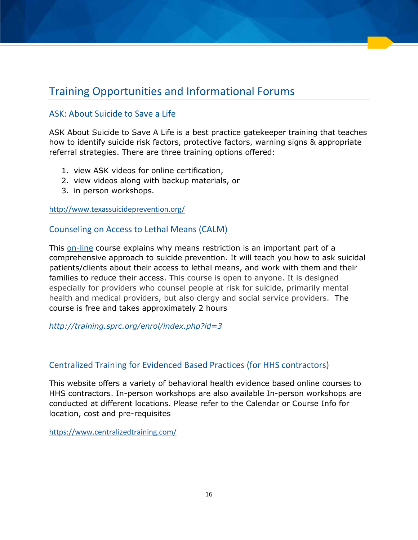## <span id="page-16-0"></span>Training Opportunities and Informational Forums

## <span id="page-16-1"></span>ASK: About Suicide to Save a Life

ASK About Suicide to Save A Life is a best practice gatekeeper training that teaches how to identify suicide risk factors, protective factors, warning signs & appropriate referral strategies. There are three training options offered:

- 1. view ASK videos for online certification,
- 2. view videos along with backup materials, or
- 3. in person workshops.

<http://www.texassuicideprevention.org/>

### <span id="page-16-2"></span>Counseling on Access to Lethal Means (CALM)

This [on-line](https://www.sprc.org/resources-programs/calm-counseling-access-lethal-means-0) course explains why means restriction is an important part of a comprehensive approach to suicide prevention. It will teach you how to ask suicidal patients/clients about their access to lethal means, and work with them and their families to reduce their access. This course is open to anyone. It is designed especially for providers who counsel people at risk for suicide, primarily mental health and medical providers, but also clergy and social service providers. The course is free and takes approximately 2 hours

*<http://training.sprc.org/enrol/index.php?id=3>*

## <span id="page-16-3"></span>Centralized Training for Evidenced Based Practices (for HHS contractors)

This website offers a variety of behavioral health evidence based online courses to HHS contractors. In-person workshops are also available In-person workshops are conducted at different locations. Please refer to the Calendar or Course Info for location, cost and pre-requisites

<https://www.centralizedtraining.com/>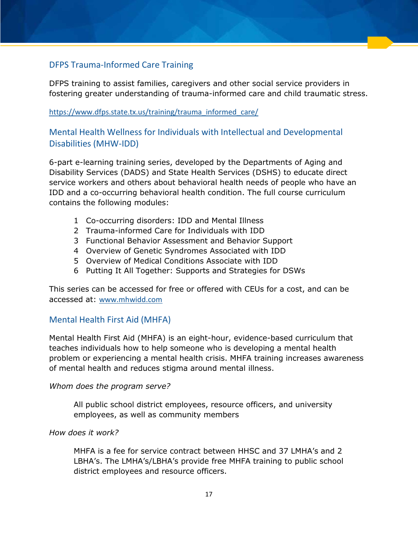## <span id="page-17-0"></span>[DFPS Trauma-Informed Care Training](https://www.dfps.state.tx.us/training/trauma_informed_care/)

DFPS training to assist families, caregivers and other social service providers in fostering greater understanding of trauma-informed care and child traumatic stress.

#### https://www.dfps.state.tx.us/training/trauma\_informed\_care/

## <span id="page-17-1"></span>Mental Health Wellness for Individuals with Intellectual and Developmental Disabilities (MHW-IDD)

6-part e-learning training series, developed by the Departments of Aging and Disability Services (DADS) and State Health Services (DSHS) to educate direct service workers and others about behavioral health needs of people who have an IDD and a co-occurring behavioral health condition. The full course curriculum contains the following modules:

- 1 Co-occurring disorders: IDD and Mental Illness
- 2 Trauma-informed Care for Individuals with IDD
- 3 Functional Behavior Assessment and Behavior Support
- 4 Overview of Genetic Syndromes Associated with IDD
- 5 Overview of Medical Conditions Associate with IDD
- 6 Putting It All Together: Supports and Strategies for DSWs

This series can be accessed for free or offered with CEUs for a cost, and can be accessed at: [www.mhwidd.com](http://www.mhwidd.com/)

## <span id="page-17-2"></span>Mental Health First Aid (MHFA)

Mental Health First Aid (MHFA) is an eight-hour, evidence-based curriculum that teaches individuals how to help someone who is developing a mental health problem or experiencing a mental health crisis. MHFA training increases awareness of mental health and reduces stigma around mental illness.

#### *Whom does the program serve?*

All public school district employees, resource officers, and university employees, as well as community members

#### *How does it work?*

MHFA is a fee for service contract between HHSC and 37 LMHA's and 2 LBHA's. The LMHA's/LBHA's provide free MHFA training to public school district employees and resource officers.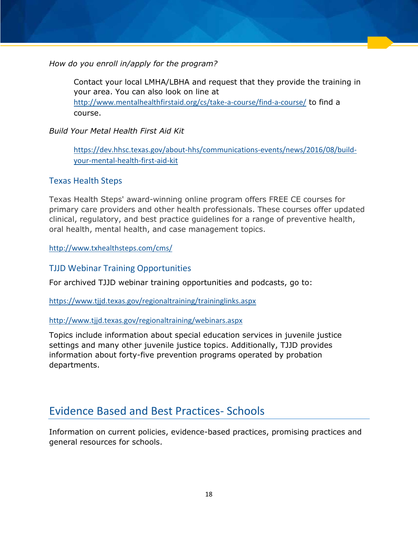*How do you enroll in/apply for the program?* 

Contact your local LMHA/LBHA and request that they provide the training in your area. You can also look on line at <http://www.mentalhealthfirstaid.org/cs/take-a-course/find-a-course/> to find a course.

## *Build Your Metal Health First Aid Kit*

[https://dev.hhsc.texas.gov/about-hhs/communications-events/news/2016/08/build](https://dev.hhsc.texas.gov/about-hhs/communications-events/news/2016/08/build-your-mental-health-first-aid-kit)[your-mental-health-first-aid-kit](https://dev.hhsc.texas.gov/about-hhs/communications-events/news/2016/08/build-your-mental-health-first-aid-kit)

## <span id="page-18-0"></span>Texas Health Steps

Texas Health Steps' award-winning online program offers FREE CE courses for primary care providers and other health professionals. These courses offer updated clinical, regulatory, and best practice guidelines for a range of preventive health, oral health, mental health, and case management topics.

<http://www.txhealthsteps.com/cms/>

## <span id="page-18-1"></span>TJJD Webinar Training Opportunities

For archived TJJD webinar training opportunities and podcasts, go to:

<https://www.tjjd.texas.gov/regionaltraining/traininglinks.aspx>

#### <http://www.tjjd.texas.gov/regionaltraining/webinars.aspx>

Topics include information about special education services in juvenile justice settings and many other juvenile justice topics. Additionally, TJJD provides information about forty-five prevention programs operated by probation departments.

## <span id="page-18-2"></span>Evidence Based and Best Practices- Schools

Information on current policies, evidence-based practices, promising practices and general resources for schools.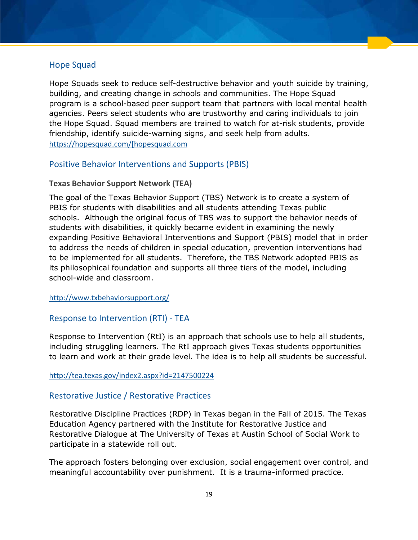#### <span id="page-19-0"></span>Hope Squad

Hope Squads seek to reduce self-destructive behavior and youth suicide by training, building, and creating change in schools and communities. The Hope Squad program is a school-based peer support team that partners with local mental health agencies. Peers select students who are trustworthy and caring individuals to join the Hope Squad. Squad members are trained to watch for at-risk students, provide friendship, identify suicide-warning signs, and seek help from adults. [https://hopesquad.com/\[hopesquad.com](https://hopesquad.com/%5bhopesquad.com)

## <span id="page-19-1"></span>Positive Behavior Interventions and Supports (PBIS)

#### <span id="page-19-2"></span>**Texas Behavior Support Network (TEA)**

The goal of the Texas Behavior Support (TBS) Network is to create a system of PBIS for students with disabilities and all students attending Texas public schools. Although the original focus of TBS was to support the behavior needs of students with disabilities, it quickly became evident in examining the newly expanding Positive Behavioral Interventions and Support (PBIS) model that in order to address the needs of children in special education, prevention interventions had to be implemented for all students. Therefore, the TBS Network adopted PBIS as its philosophical foundation and supports all three tiers of the model, including school-wide and classroom.

<http://www.txbehaviorsupport.org/>

## <span id="page-19-3"></span>Response to Intervention (RTI) - TEA

Response to Intervention (RtI) is an approach that schools use to help all students, including struggling learners. The RtI approach gives Texas students opportunities to learn and work at their grade level. The idea is to help all students be successful.

#### <http://tea.texas.gov/index2.aspx?id=2147500224>

#### <span id="page-19-4"></span>Restorative Justice / Restorative Practices

Restorative Discipline Practices (RDP) in Texas began in the Fall of 2015. The Texas Education Agency partnered with the Institute for Restorative Justice and Restorative Dialogue at The University of Texas at Austin School of Social Work to participate in a statewide roll out.

The approach fosters belonging over exclusion, social engagement over control, and meaningful accountability over punishment. It is a trauma-informed practice.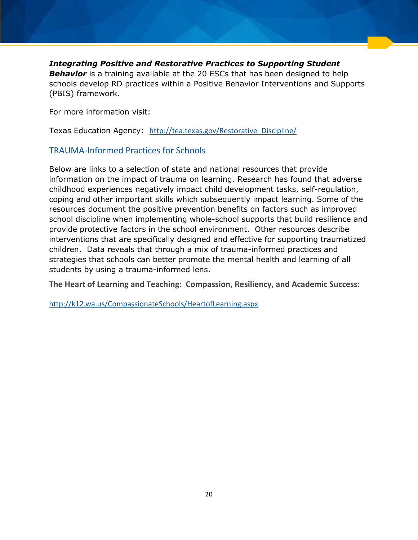#### *Integrating Positive and Restorative Practices to Supporting Student*

**Behavior** is a training available at the 20 ESCs that has been designed to help schools develop RD practices within a Positive Behavior Interventions and Supports (PBIS) framework.

For more information visit:

Texas Education Agency: [http://tea.texas.gov/Restorative\\_Discipline/](http://tea.texas.gov/Restorative_Discipline/)

## <span id="page-20-0"></span>TRAUMA-Informed Practices for Schools

Below are links to a selection of state and national resources that provide information on the impact of trauma on learning. Research has found that adverse childhood experiences negatively impact child development tasks, self-regulation, coping and other important skills which subsequently impact learning. Some of the resources document the positive prevention benefits on factors such as improved school discipline when implementing whole-school supports that build resilience and provide protective factors in the school environment. Other resources describe interventions that are specifically designed and effective for supporting traumatized children. Data reveals that through a mix of trauma-informed practices and strategies that schools can better promote the mental health and learning of all students by using a trauma-informed lens.

**The Heart of Learning and Teaching: Compassion, Resiliency, and Academic Success:** 

<http://k12.wa.us/CompassionateSchools/HeartofLearning.aspx>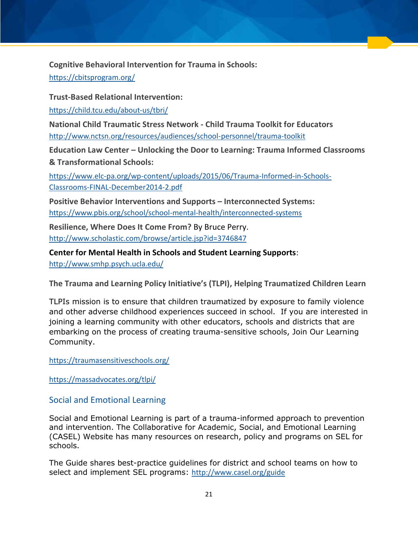<span id="page-21-0"></span>**Cognitive Behavioral Intervention for Trauma in Schools:** 

<https://cbitsprogram.org/>

<span id="page-21-1"></span>**Trust-Based Relational Intervention:** 

<https://child.tcu.edu/about-us/tbri/>

<span id="page-21-2"></span>**National Child Traumatic Stress Network - Child Trauma Toolkit for Educators**  <http://www.nctsn.org/resources/audiences/school-personnel/trauma-toolkit>

**Education Law Center – Unlocking the Door to Learning: Trauma Informed Classrooms & Transformational Schools:** 

[https://www.elc-pa.org/wp-content/uploads/2015/06/Trauma-Informed-in-Schools-](https://www.elc-pa.org/wp-content/uploads/2015/06/Trauma-Informed-in-Schools-Classrooms-FINAL-December2014-2.pdf)[Classrooms-FINAL-December2014-2.pdf](https://www.elc-pa.org/wp-content/uploads/2015/06/Trauma-Informed-in-Schools-Classrooms-FINAL-December2014-2.pdf)

<span id="page-21-3"></span>**Positive Behavior Interventions and Supports – Interconnected Systems:**  <https://www.pbis.org/school/school-mental-health/interconnected-systems>

<span id="page-21-4"></span>**Resilience, Where Does It Come From?** By Bruce Perry. <http://www.scholastic.com/browse/article.jsp?id=3746847>

**Center for Mental Health in Schools and Student Learning Supports**: <http://www.smhp.psych.ucla.edu/>

<span id="page-21-5"></span>**The Trauma and Learning Policy Initiative's (TLPI), Helping Traumatized Children Learn**

TLPIs mission is to ensure that children traumatized by exposure to family violence and other adverse childhood experiences succeed in school. If you are interested in joining a learning community with other educators, schools and districts that are embarking on the process of creating trauma-sensitive schools, Join Our Learning Community.

<https://traumasensitiveschools.org/>

<https://massadvocates.org/tlpi/>

## <span id="page-21-6"></span>Social and Emotional Learning

Social and Emotional Learning is part of a trauma-informed approach to prevention and intervention. The Collaborative for Academic, Social, and Emotional Learning (CASEL) Website has many resources on research, policy and programs on SEL for schools.

The Guide shares best-practice guidelines for district and school teams on how to select and implement SEL programs: <http://www.casel.org/guide>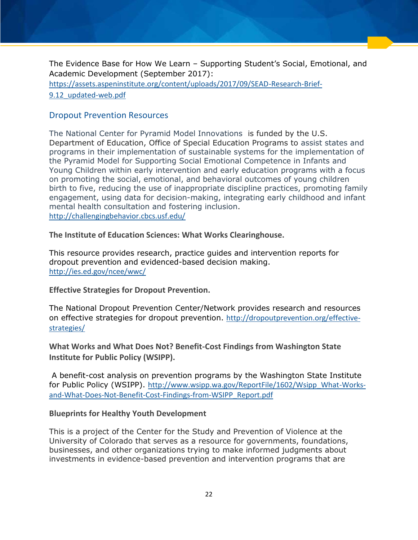The Evidence Base for How We Learn – Supporting Student's Social, Emotional, and Academic Development (September 2017):

[https://assets.aspeninstitute.org/content/uploads/2017/09/SEAD-Research-Brief-](https://assets.aspeninstitute.org/content/uploads/2017/09/SEAD-Research-Brief-9.12_updated-web.pdf)[9.12\\_updated-web.pdf](https://assets.aspeninstitute.org/content/uploads/2017/09/SEAD-Research-Brief-9.12_updated-web.pdf)

## <span id="page-22-0"></span>Dropout Prevention Resources

The National Center for Pyramid Model Innovations is funded by the U.S. Department of Education, Office of Special Education Programs to assist states and programs in their implementation of sustainable systems for the implementation of the Pyramid Model for Supporting Social Emotional Competence in Infants and Young Children within early intervention and early education programs with a focus on promoting the social, emotional, and behavioral outcomes of young children birth to five, reducing the use of inappropriate discipline practices, promoting family engagement, using data for decision-making, integrating early childhood and infant mental health consultation and fostering inclusion. <http://challengingbehavior.cbcs.usf.edu/>

<span id="page-22-1"></span>**The Institute of Education Sciences: What Works Clearinghouse.** 

This resource provides research, practice guides and intervention reports for dropout prevention and evidenced-based decision making. <http://ies.ed.gov/ncee/wwc/>

<span id="page-22-2"></span>**Effective Strategies for Dropout Prevention.** 

The National Dropout Prevention Center/Network provides research and resources on effective strategies for dropout prevention. [http://dropoutprevention.org/effective](http://dropoutprevention.org/effective-strategies/)[strategies/](http://dropoutprevention.org/effective-strategies/)

<span id="page-22-3"></span>**What Works and What Does Not? Benefit-Cost Findings from Washington State Institute for Public Policy (WSIPP).** 

 A benefit-cost analysis on prevention programs by the Washington State Institute for Public Policy (WSIPP). [http://www.wsipp.wa.gov/ReportFile/1602/Wsipp\\_What-Works](http://www.wsipp.wa.gov/ReportFile/1602/Wsipp_What-Works-and-What-Does-Not-Benefit-Cost-Findings-from-WSIPP_Report.pdf)[and-What-Does-Not-Benefit-Cost-Findings-from-WSIPP\\_Report.pdf](http://www.wsipp.wa.gov/ReportFile/1602/Wsipp_What-Works-and-What-Does-Not-Benefit-Cost-Findings-from-WSIPP_Report.pdf)

#### <span id="page-22-4"></span>**Blueprints for Healthy Youth Development**

This is a project of the Center for the Study and Prevention of Violence at the University of Colorado that serves as a resource for governments, foundations, businesses, and other organizations trying to make informed judgments about investments in evidence-based prevention and intervention programs that are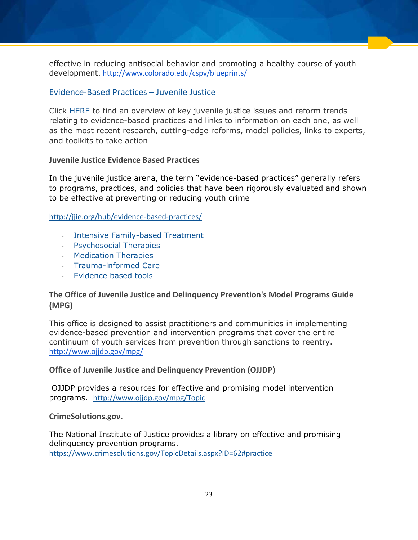effective in reducing antisocial behavior and promoting a healthy course of youth development. <http://www.colorado.edu/cspv/blueprints/>

### <span id="page-23-0"></span>Evidence-Based Practices – Juvenile Justice

Click [HERE](http://jjie.org/hub/evidence-based-practices/) to find an overview of key juvenile justice issues and reform trends relating to evidence-based practices and links to information on each one, as well as the most recent research, cutting-edge reforms, model policies, links to experts, and toolkits to take action

#### <span id="page-23-1"></span>**Juvenile Justice Evidence Based Practices**

In the juvenile justice arena, the term "evidence-based practices" generally refers to programs, practices, and policies that have been rigorously evaluated and shown to be effective at preventing or reducing youth crime

<http://jjie.org/hub/evidence-based-practices/>

- [Intensive Family-based Treatment](http://jjie.org/hub/mental-health-and-substance-abuse/reform-trends/#73)
- [Psychosocial Therapies](http://jjie.org/hub/mental-health-and-substance-abuse/reform-trends/#77)
- [Medication Therapies](http://jjie.org/hub/mental-health-and-substance-abuse/reform-trends/#79)
- [Trauma-informed Care](http://jjie.org/hub/mental-health-and-substance-abuse/reform-trends/#80)
- [Evidence based tools](http://jjie.org/hub/mental-health-and-substance-abuse/mental-health-glossary/#practices)

### <span id="page-23-2"></span>**The Office of Juvenile Justice and Delinquency Prevention's Model Programs Guide (MPG)**

This office is designed to assist practitioners and communities in implementing evidence-based prevention and intervention programs that cover the entire continuum of youth services from prevention through sanctions to reentry. <http://www.ojjdp.gov/mpg/>

#### <span id="page-23-3"></span>**Office of Juvenile Justice and Delinquency Prevention (OJJDP)**

OJJDP provides a resources for effective and promising model intervention programs. <http://www.ojjdp.gov/mpg/Topic>

<span id="page-23-4"></span>**CrimeSolutions.gov.** 

The National Institute of Justice provides a library on effective and promising delinquency prevention programs. <https://www.crimesolutions.gov/TopicDetails.aspx?ID=62#practice>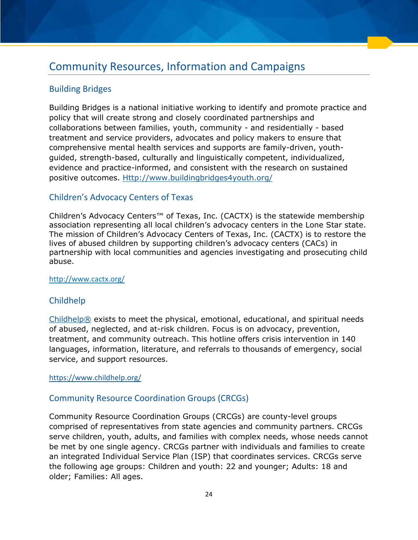## <span id="page-24-0"></span>Community Resources, Information and Campaigns

## <span id="page-24-1"></span>Building Bridges

Building Bridges is a national initiative working to identify and promote practice and policy that will create strong and closely coordinated partnerships and collaborations between families, youth, community - and residentially - based treatment and service providers, advocates and policy makers to ensure that comprehensive mental health services and supports are family-driven, youthguided, strength-based, culturally and linguistically competent, individualized, evidence and practice-informed, and consistent with the research on sustained positive outcomes. [Http://www.buildingbridges4youth.org/](http://www.buildingbridges4youth.org/)

## <span id="page-24-2"></span>Children's Advocacy Centers of Texas

Children's Advocacy Centers™ of Texas, Inc. (CACTX) is the statewide membership association representing all local children's advocacy centers in the Lone Star state. The mission of Children's Advocacy Centers of Texas, Inc. (CACTX) is to restore the lives of abused children by supporting children's advocacy centers (CACs) in partnership with local communities and agencies investigating and prosecuting child abuse.

<http://www.cactx.org/>

## <span id="page-24-3"></span>Childhelp

[Childhelp®](https://www.childhelp.org/) exists to meet the physical, emotional, educational, and spiritual needs of abused, neglected, and at-risk children. Focus is on advocacy, prevention, treatment, and community outreach. This hotline offers crisis intervention in 140 languages, information, literature, and referrals to thousands of emergency, social service, and support resources.

#### <https://www.childhelp.org/>

## <span id="page-24-4"></span>Community Resource Coordination Groups (CRCGs)

Community Resource Coordination Groups (CRCGs) are county-level groups comprised of representatives from state agencies and community partners. CRCGs serve children, youth, adults, and families with complex needs, whose needs cannot be met by one single agency. CRCGs partner with individuals and families to create an integrated Individual Service Plan (ISP) that coordinates services. CRCGs serve the following age groups: Children and youth: 22 and younger; Adults: 18 and older; Families: All ages.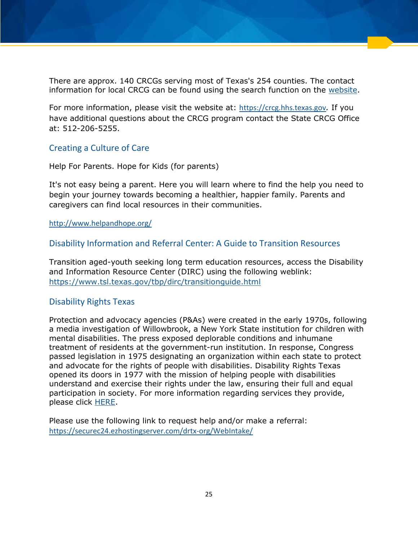There are approx. 140 CRCGs serving most of Texas's 254 counties. The contact information for local CRCG can be found using the search function on the [website.](https://crcg.hhs.texas.gov/)

For more information, please visit the website at: [https://crcg.hhs.texas.gov](https://crcg.hhs.texas.gov/)*.* If you have additional questions about the CRCG program contact the State CRCG Office at: 512-206-5255.

### <span id="page-25-0"></span>Creating a Culture of Care

Help For Parents. Hope for Kids (for parents)

It's not easy being a parent. Here you will learn where to find the help you need to begin your journey towards becoming a healthier, happier family. Parents and caregivers can find local resources in their communities.

<http://www.helpandhope.org/>

#### <span id="page-25-1"></span>Disability Information and Referral Center: A Guide to Transition Resources

Transition aged-youth seeking long term education resources, access the Disability and Information Resource Center (DIRC) using the following weblink: <https://www.tsl.texas.gov/tbp/dirc/transitionguide.html>

#### <span id="page-25-2"></span>Disability Rights Texas

Protection and advocacy agencies (P&As) were created in the early 1970s, following a media investigation of Willowbrook, a New York State institution for children with mental disabilities. The press exposed deplorable conditions and inhumane treatment of residents at the government-run institution. In response, Congress passed legislation in 1975 designating an organization within each state to protect and advocate for the rights of people with disabilities. Disability Rights Texas opened its doors in 1977 with the mission of helping people with disabilities understand and exercise their rights under the law, ensuring their full and equal participation in society. For more information regarding services they provide, please click [HERE.](https://www.disabilityrightstx.org/)

Please use the following link to request help and/or make a referral: <https://securec24.ezhostingserver.com/drtx-org/WebIntake/>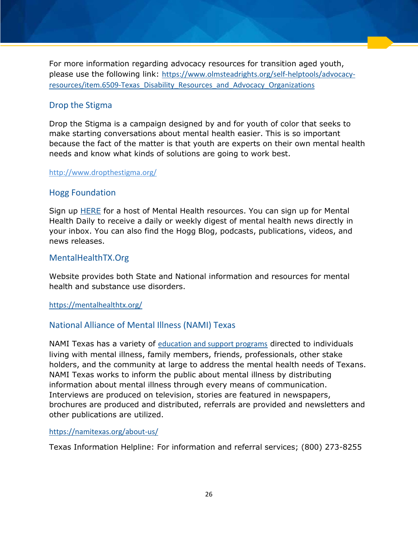For more information regarding advocacy resources for transition aged youth, please use the following link: [https://www.olmsteadrights.org/self-helptools/advocacy](https://www.olmsteadrights.org/self-helptools/advocacy-resources/item.6509-Texas_Disability_Resources_and_Advocacy_Organizations)[resources/item.6509-Texas\\_Disability\\_Resources\\_and\\_Advocacy\\_Organizations](https://www.olmsteadrights.org/self-helptools/advocacy-resources/item.6509-Texas_Disability_Resources_and_Advocacy_Organizations)

#### <span id="page-26-0"></span>Drop the Stigma

Drop the Stigma is a campaign designed by and for youth of color that seeks to make starting conversations about mental health easier. This is so important because the fact of the matter is that youth are experts on their own mental health needs and know what kinds of solutions are going to work best.

#### <span id="page-26-1"></span><http://www.dropthestigma.org/>

#### [Hogg Foundation](http://hogg.utexas.edu/)

Sign up [HERE](http://hogg.utexas.edu/) for a host of Mental Health resources. You can sign up for Mental Health Daily to receive a daily or weekly digest of mental health news directly in your inbox. You can also find the Hogg Blog, podcasts, publications, videos, and news releases.

#### <span id="page-26-2"></span>MentalHealthTX.Org

Website provides both State and National information and resources for mental health and substance use disorders.

#### <span id="page-26-3"></span><https://mentalhealthtx.org/>

#### National Alliance of Mental Illness (NAMI) Texas

NAMI Texas has a variety of [education and support programs](http://namitexas.org/education-support/) directed to individuals living with mental illness, family members, friends, professionals, other stake holders, and the community at large to address the mental health needs of Texans. NAMI Texas works to inform the public about mental illness by distributing information about mental illness through every means of communication. Interviews are produced on television, stories are featured in newspapers, brochures are produced and distributed, referrals are provided and newsletters and other publications are utilized.

#### <https://namitexas.org/about-us/>

Texas Information Helpline: For information and referral services; (800) 273-8255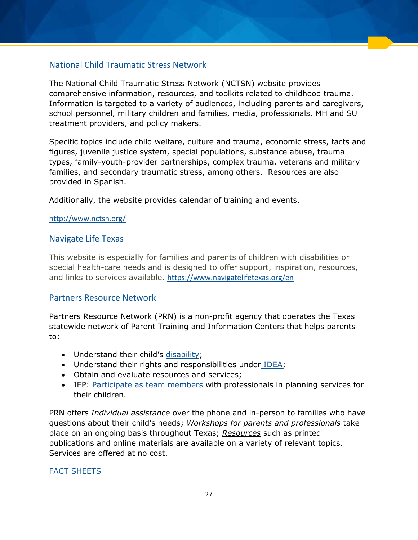## <span id="page-27-0"></span>National Child Traumatic Stress Network

The National Child Traumatic Stress Network (NCTSN) website provides comprehensive information, resources, and toolkits related to childhood trauma. Information is targeted to a variety of audiences, including parents and caregivers, school personnel, military children and families, media, professionals, MH and SU treatment providers, and policy makers.

Specific topics include child welfare, culture and trauma, economic stress, facts and figures, juvenile justice system, special populations, substance abuse, trauma types, family-youth-provider partnerships, complex trauma, veterans and military families, and secondary traumatic stress, among others. Resources are also provided in Spanish.

Additionally, the website provides calendar of training and events.

#### <http://www.nctsn.org/>

#### <span id="page-27-1"></span>Navigate Life Texas

This website is especially for families and parents of children with disabilities or special health-care needs and is designed to offer support, inspiration, resources, and links to services available. <https://www.navigatelifetexas.org/en>

#### <span id="page-27-2"></span>Partners Resource Network

Partners Resource Network (PRN) is a non-profit agency that operates the Texas statewide network of Parent Training and Information Centers that helps parents to:

- Understand their child's [disability;](http://prntexas.org/disabilities/)
- Understand their rights and responsibilities unde[r IDEA;](http://prntexas.org/idea/)
- Obtain and evaluate resources and services;
- IEP: [Participate as team members](http://prntexas.org/the-iep-team/) with professionals in planning services for their children.

PRN offers *Individual assistance* over the phone and in-person to families who have questions about their child's needs; *Workshops for parents and professionals* take place on an ongoing basis throughout Texas; *Resources* such as printed publications and online materials are available on a variety of relevant topics. Services are offered at no cost.

#### [FACT SHEETS](http://prntexas.org/fact-sheets/)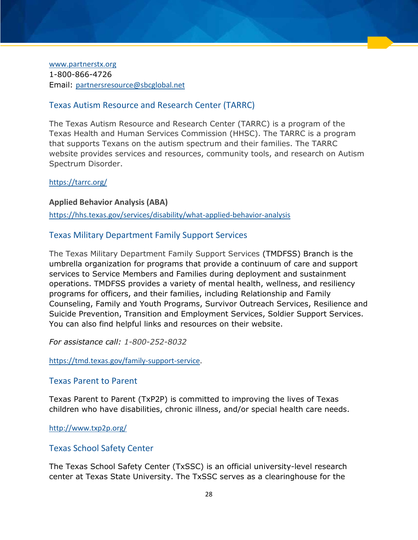[www.partnerstx.org](http://www.partnerstx.org/) 1-800-866-4726 Email: [partnersresource@sbcglobal.net](mailto:partnersresource@sbcglobal.net)

#### <span id="page-28-0"></span>Texas Autism Resource and Research Center (TARRC)

The Texas Autism Resource and Research Center (TARRC) is a program of the Texas Health and Human Services Commission (HHSC). The TARRC is a program that supports Texans on the autism spectrum and their families. The TARRC website provides services and resources, community tools, and research on Autism Spectrum Disorder.

#### <https://tarrc.org/>

<span id="page-28-1"></span>**Applied Behavior Analysis (ABA)**  <https://hhs.texas.gov/services/disability/what-applied-behavior-analysis>

### <span id="page-28-2"></span>Texas Military Department Family Support Services

The Texas Military Department Family Support Services (TMDFSS) Branch is the umbrella organization for programs that provide a continuum of care and support services to Service Members and Families during deployment and sustainment operations. TMDFSS provides a variety of mental health, wellness, and resiliency programs for officers, and their families, including Relationship and Family Counseling, Family and Youth Programs, Survivor Outreach Services, Resilience and Suicide Prevention, Transition and Employment Services, Soldier Support Services. You can also find helpful links and resources on their website.

*For assistance call: 1-800-252-8032*

[https://tmd.texas.gov/family-support-service.](https://tmd.texas.gov/family-support-service)

#### <span id="page-28-3"></span>Texas Parent to Parent

Texas Parent to Parent (TxP2P) is committed to improving the lives of Texas children who have disabilities, chronic illness, and/or special health care needs.

<http://www.txp2p.org/>

#### <span id="page-28-4"></span>Texas School Safety Center

The Texas School Safety Center (TxSSC) is an official university-level research center at Texas State University. The TxSSC serves as a clearinghouse for the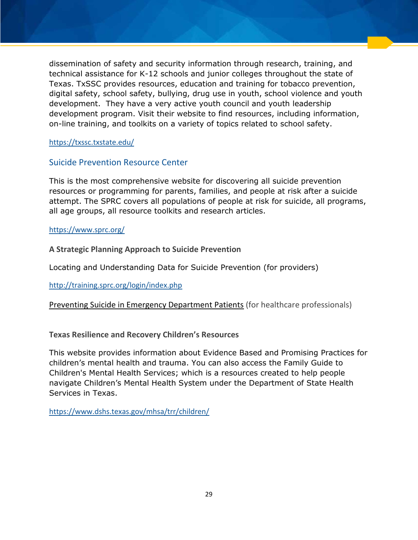dissemination of safety and security information through research, training, and technical assistance for K-12 schools and junior colleges throughout the state of Texas. TxSSC provides resources, education and training for tobacco prevention, digital safety, school safety, bullying, drug use in youth, school violence and youth development. They have a very active youth council and youth leadership development program. Visit their website to find resources, including information, on-line training, and toolkits on a variety of topics related to school safety.

#### <https://txssc.txstate.edu/>

#### <span id="page-29-0"></span>Suicide Prevention Resource Center

This is the most comprehensive website for discovering all suicide prevention resources or programming for parents, families, and people at risk after a suicide attempt. The SPRC covers all populations of people at risk for suicide, all programs, all age groups, all resource toolkits and research articles.

#### <https://www.sprc.org/>

<span id="page-29-1"></span>**A Strategic Planning Approach to Suicide Prevention** 

Locating and Understanding Data for Suicide Prevention (for providers)

<span id="page-29-2"></span><http://training.sprc.org/login/index.php>

[Preventing Suicide in Emergency Department Patients](http://training.sprc.org/course/view.php?id=8) (for healthcare professionals)

#### <span id="page-29-3"></span>**Texas Resilience and Recovery Children's Resources**

This website provides information about Evidence Based and Promising Practices for children's mental health and trauma. You can also access the Family Guide to Children's Mental Health Services; which is a resources created to help people navigate Children's Mental Health System under the Department of State Health Services in Texas.

<https://www.dshs.texas.gov/mhsa/trr/children/>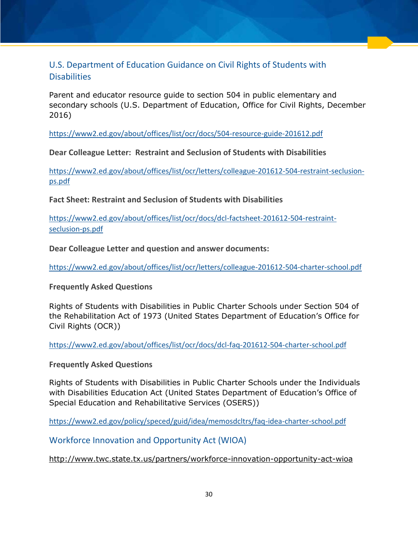## <span id="page-30-0"></span>U.S. Department of Education Guidance on Civil Rights of Students with **Disabilities**

Parent and educator resource guide to section 504 in public elementary and secondary schools (U.S. Department of Education, Office for Civil Rights, December 2016)

<https://www2.ed.gov/about/offices/list/ocr/docs/504-resource-guide-201612.pdf>

<span id="page-30-1"></span>**Dear Colleague Letter: Restraint and Seclusion of Students with Disabilities** 

[https://www2.ed.gov/about/offices/list/ocr/letters/colleague-201612-504-restraint-seclusion](https://www2.ed.gov/about/offices/list/ocr/letters/colleague-201612-504-restraint-seclusion-ps.pdf)[ps.pdf](https://www2.ed.gov/about/offices/list/ocr/letters/colleague-201612-504-restraint-seclusion-ps.pdf) 

<span id="page-30-2"></span>**Fact Sheet: Restraint and Seclusion of Students with Disabilities** 

[https://www2.ed.gov/about/offices/list/ocr/docs/dcl-factsheet-201612-504-restraint](https://www2.ed.gov/about/offices/list/ocr/docs/dcl-factsheet-201612-504-restraint-seclusion-ps.pdf)[seclusion-ps.pdf](https://www2.ed.gov/about/offices/list/ocr/docs/dcl-factsheet-201612-504-restraint-seclusion-ps.pdf) 

<span id="page-30-3"></span>**Dear Colleague Letter and question and answer documents:** 

<https://www2.ed.gov/about/offices/list/ocr/letters/colleague-201612-504-charter-school.pdf>

<span id="page-30-4"></span>**Frequently Asked Questions**

Rights of Students with Disabilities in Public Charter Schools under Section 504 of the Rehabilitation Act of 1973 (United States Department of Education's Office for Civil Rights (OCR))

<https://www2.ed.gov/about/offices/list/ocr/docs/dcl-faq-201612-504-charter-school.pdf>

<span id="page-30-5"></span>**Frequently Asked Questions** 

Rights of Students with Disabilities in Public Charter Schools under the Individuals with Disabilities Education Act (United States Department of Education's Office of Special Education and Rehabilitative Services (OSERS))

<span id="page-30-6"></span><https://www2.ed.gov/policy/speced/guid/idea/memosdcltrs/faq-idea-charter-school.pdf>

Workforce Innovation and Opportunity Act (WIOA)

<http://www.twc.state.tx.us/partners/workforce-innovation-opportunity-act-wioa>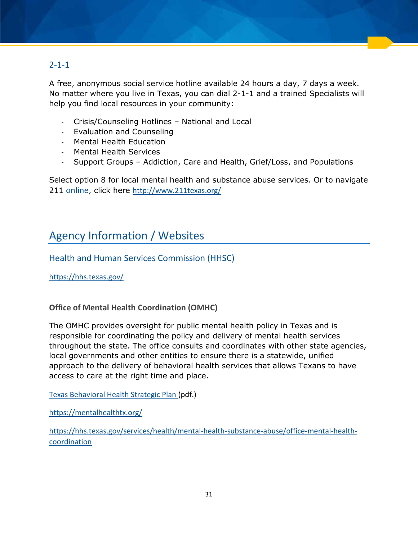## <span id="page-31-0"></span> $2 - 1 - 1$

A free, anonymous social service hotline available 24 hours a day, 7 days a week. No matter where you live in Texas, you can dial 2-1-1 and a trained Specialists will help you find local resources in your community:

- Crisis/Counseling Hotlines National and Local
- Evaluation and Counseling
- Mental Health Education
- Mental Health Services
- Support Groups Addiction, Care and Health, Grief/Loss, and Populations

Select option 8 for local mental health and substance abuse services. Or to navigate 211 [online,](http://www.211texas.org/) click here <http://www.211texas.org/>

## <span id="page-31-1"></span>Agency Information / Websites

<span id="page-31-2"></span>Health and Human Services Commission (HHSC)

<https://hhs.texas.gov/>

<span id="page-31-3"></span>**Office of Mental Health Coordination (OMHC)** 

The OMHC provides oversight for public mental health policy in Texas and is responsible for coordinating the policy and delivery of mental health services throughout the state. The office consults and coordinates with other state agencies, local governments and other entities to ensure there is a statewide, unified approach to the delivery of behavioral health services that allows Texans to have access to care at the right time and place.

[Texas Behavioral Health Strategic Plan](https://hhs.texas.gov/sites/default/files/050216-statewide-behavioral-health-strategic-plan.pdf) (pdf.)

<https://mentalhealthtx.org/>

[https://hhs.texas.gov/services/health/mental-health-substance-abuse/office-mental-health](https://hhs.texas.gov/services/health/mental-health-substance-abuse/office-mental-health-coordination)[coordination](https://hhs.texas.gov/services/health/mental-health-substance-abuse/office-mental-health-coordination)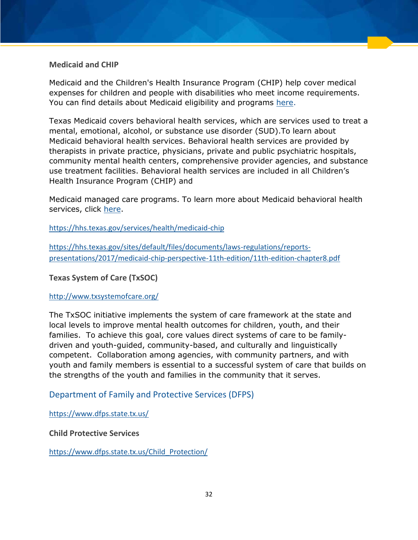#### <span id="page-32-0"></span>**Medicaid and CHIP**

Medicaid and the Children's Health Insurance Program (CHIP) help cover medical expenses for children and people with disabilities who meet income requirements. You can find details about Medicaid eligibility and programs [here.](https://hhs.texas.gov/services/health/medicaid-chip)

Texas Medicaid covers behavioral health services, which are services used to treat a mental, emotional, alcohol, or substance use disorder (SUD).To learn about Medicaid behavioral health services. Behavioral health services are provided by therapists in private practice, physicians, private and public psychiatric hospitals, community mental health centers, comprehensive provider agencies, and substance use treatment facilities. Behavioral health services are included in all Children's Health Insurance Program (CHIP) and

Medicaid managed care programs. To learn more about Medicaid behavioral health services, click [here.](https://hhs.texas.gov/sites/default/files/documents/laws-regulations/reports-presentations/2017/medicaid-chip-perspective-11th-edition/11th-edition-chapter8.pdf)

<https://hhs.texas.gov/services/health/medicaid-chip>

[https://hhs.texas.gov/sites/default/files/documents/laws-regulations/reports](https://hhs.texas.gov/sites/default/files/documents/laws-regulations/reports-presentations/2017/medicaid-chip-perspective-11th-edition/11th-edition-chapter8.pdf)[presentations/2017/medicaid-chip-perspective-11th-edition/11th-edition-chapter8.pdf](https://hhs.texas.gov/sites/default/files/documents/laws-regulations/reports-presentations/2017/medicaid-chip-perspective-11th-edition/11th-edition-chapter8.pdf) 

#### <span id="page-32-1"></span>**Texas System of Care (TxSOC)**

#### <http://www.txsystemofcare.org/>

The TxSOC initiative implements the system of care framework at the state and local levels to improve mental health outcomes for children, youth, and their families. To achieve this goal, core values direct systems of care to be familydriven and youth-guided, community-based, and culturally and linguistically competent. Collaboration among agencies, with community partners, and with youth and family members is essential to a successful system of care that builds on the strengths of the youth and families in the community that it serves.

## <span id="page-32-2"></span>Department of Family and Protective Services (DFPS)

<https://www.dfps.state.tx.us/>

#### <span id="page-32-3"></span>**Child Protective Services**

[https://www.dfps.state.tx.us/Child\\_Protection/](https://www.dfps.state.tx.us/Child_Protection/)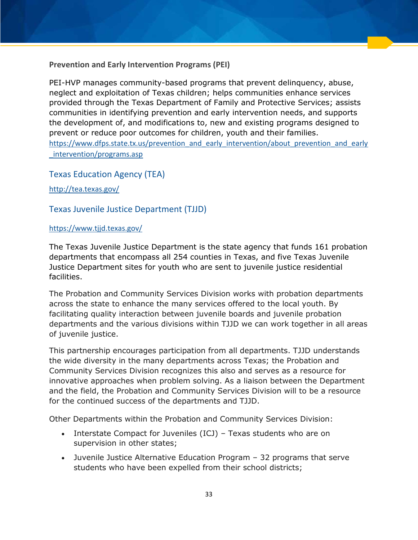#### <span id="page-33-0"></span>**[Prevention and Early Intervention Programs](https://www.dfps.state.tx.us/prevention_and_early_intervention/about_prevention_and_early_intervention/programs.asp) (PEI)**

PEI-HVP manages community-based programs that prevent delinquency, abuse, neglect and exploitation of Texas children; helps communities enhance services provided through the Texas Department of Family and Protective Services; assists communities in identifying prevention and early intervention needs, and supports the development of, and modifications to, new and existing programs designed to prevent or reduce poor outcomes for children, youth and their families. [https://www.dfps.state.tx.us/prevention\\_and\\_early\\_intervention/about\\_prevention\\_and\\_early](https://www.dfps.state.tx.us/prevention_and_early_intervention/about_prevention_and_early_intervention/programs.asp) [\\_intervention/programs.asp](https://www.dfps.state.tx.us/prevention_and_early_intervention/about_prevention_and_early_intervention/programs.asp)

<span id="page-33-1"></span>Texas Education Agency (TEA)

<span id="page-33-2"></span><http://tea.texas.gov/>

### Texas Juvenile Justice Department (TJJD)

#### <https://www.tjjd.texas.gov/>

The Texas Juvenile Justice Department is the state agency that funds 161 probation departments that encompass all 254 counties in Texas, and five Texas Juvenile Justice Department sites for youth who are sent to juvenile justice residential facilities.

The Probation and Community Services Division works with probation departments across the state to enhance the many services offered to the local youth. By facilitating quality interaction between juvenile boards and juvenile probation departments and the various divisions within TJJD we can work together in all areas of juvenile justice.

This partnership encourages participation from all departments. TJJD understands the wide diversity in the many departments across Texas; the Probation and Community Services Division recognizes this also and serves as a resource for innovative approaches when problem solving. As a liaison between the Department and the field, the Probation and Community Services Division will to be a resource for the continued success of the departments and TJJD.

Other Departments within the Probation and Community Services Division:

- Interstate Compact for Juveniles (ICJ) Texas students who are on supervision in other states;
- Juvenile Justice Alternative Education Program 32 programs that serve students who have been expelled from their school districts;